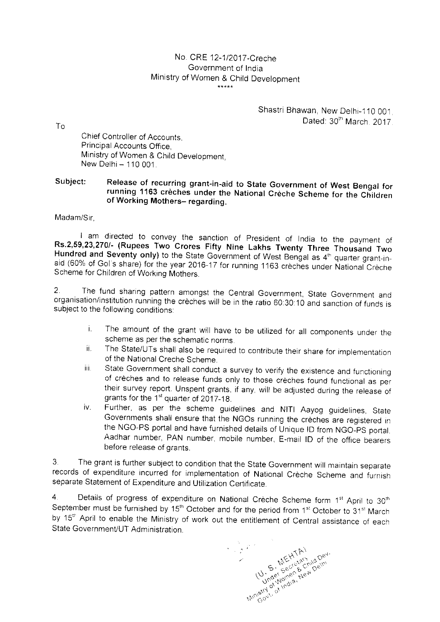## No. CRE 12-1/2017-Creche Government of India Ministry of Women & Child Development

## Shastri Bhawan, New Delhi-110 001. Dated: 30<sup>th</sup> March 2017

Chief Controller of Accounts, Principal Accounts Office, Ministry of Women & Child Development,  $New Delhi - 110 001$ 

## Release of recurring grant-in-aid to State Government of West Bengal for Subject: Release of recurring grant-in-aid to State Government of West Bengal for<br>running 1163 crèches under the National Crèche Scheme for the Childrer of Working Mothers- regarding.

Madam/Sir

To

I am directed to convey the sanction of President of India to the payment of Thousand Two Hundred and Seventy only) to the State Government of West Bengal as 4<sup>th</sup> quarter grant-inaid (60% of Gol's share) for the year 2016-17 for running 1163 crèches under National Crèche<br>Scheme for Children of Working Mothers. l am directed to convey the sanction of President of India to<br>Rs.2,59,23,270/- (Rupees Two Crores Fifty Nine Lakhs Twenty Three<br>Hundred and Seventy only) to the State Government of West Bengal as 4<sup>th</sup>

2. The fund sharing pattern amongst the Central Government, State Government and organisation/institution running the crèches will be in the ratio 60:30:10 and sanction of funds is subject to the following conditions:

- i. The amount of the grant will have to be utilized for all components under the scheme as per the schematic norms.
- it. The State/UTs shall also be required to contribute their share for implementation of the National Creche Scheme.
- iii. State Government shall conduct a survey to verify the existence and functioning of crèches and to release funds only to those crèches found functional as per their survey report. Unspent grants, if any, will be adjusted during the release of grants for the 1<sup>st</sup> quarter of 2017-18.
- iv. Further, as per the scheme guidelines and NITI Aayog guidelines, State Governments shall ensure that the NGOs running the crèches are registered in the NGO-PS portal and have furnished details of Unique ID from NGO-PS portal, Aadhar number, PAN number, mobile number, E-mail ID of the office bearers before release of grants.

3 The grant is further subject to condition that the State Government will maintain separate records of expenditure incurred for implementation of National Crèche Scheme and furnish separate Staternent of Expenditure and Utilization Certificate.

4. Details of progress of expenditure on National Crèche Scheme form  $1^{st}$  April to  $30^{t}$ September must be furnished by 15<sup>th</sup> October and for the period from 1<sup>st</sup> October to 31<sup>st</sup> March by 15<sup>th</sup> April to enable the Ministry of work out the entitlement of Central assistance of each State Government/UT Administration.

 $(v, \frac{5}{5}, \frac{5}{56}, \frac{5}{56}, \frac{5}{56}, \frac{5}{56}, \frac{5}{56}, \frac{5}{56}, \frac{5}{56}, \frac{5}{56}, \frac{5}{56}, \frac{5}{56}, \frac{5}{56}, \frac{5}{56}, \frac{5}{56}, \frac{5}{56}, \frac{5}{56}, \frac{5}{56}, \frac{5}{56}, \frac{5}{56}, \frac{5}{56}, \frac{5}{56}, \frac{5}{56}, \frac{5}{56}, \frac{5}{56}, \frac{5}{56}, \frac{5}{56}, \frac{5}{56}, \frac{$ Minish's U